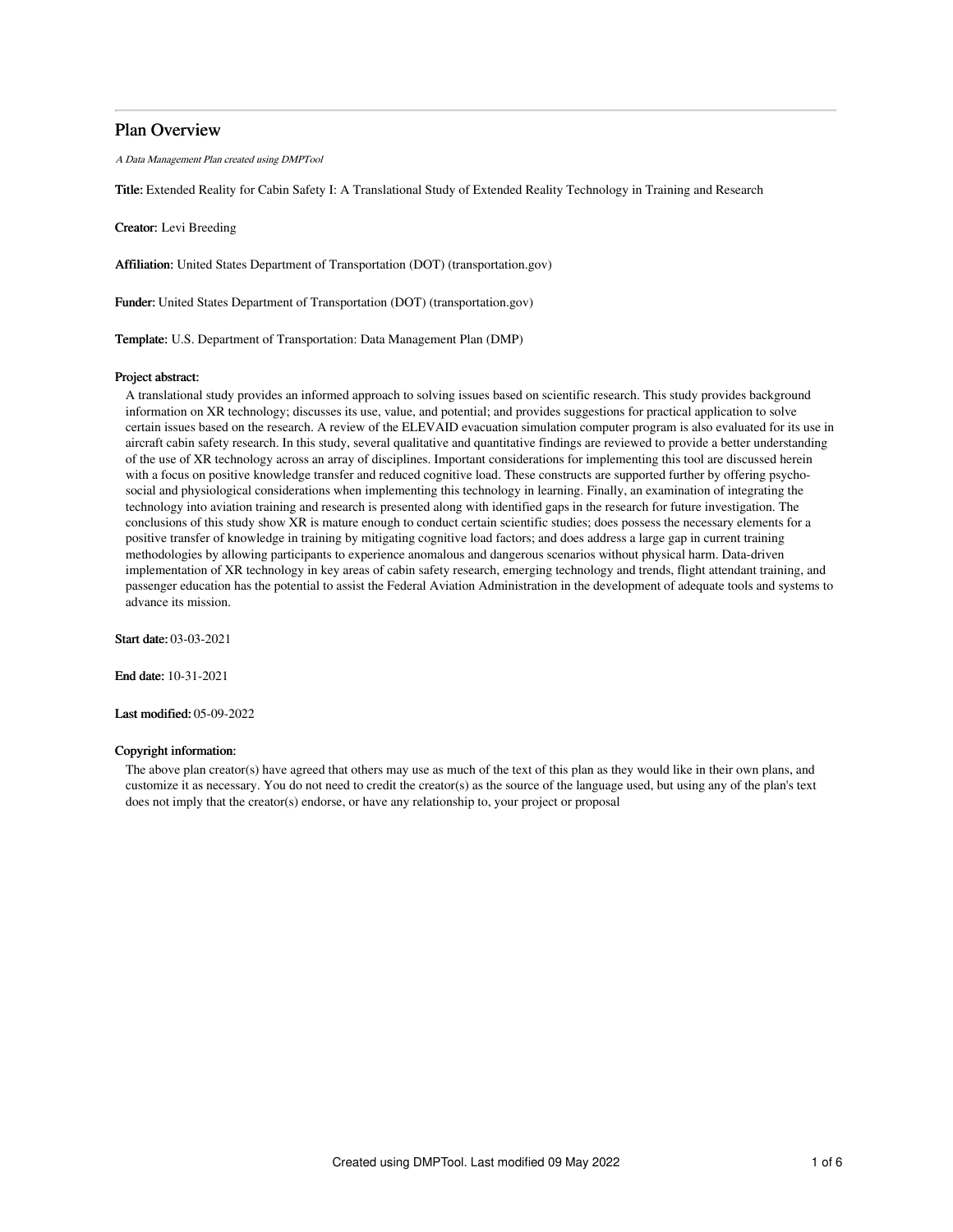## Plan Overview

A Data Management Plan created using DMPTool

Title: Extended Reality for Cabin Safety I: A Translational Study of Extended Reality Technology in Training and Research

Creator: Levi Breeding

Affiliation: United States Department of Transportation (DOT) (transportation.gov)

Funder: United States Department of Transportation (DOT) (transportation.gov)

Template: U.S. Department of Transportation: Data Management Plan (DMP)

## Project abstract:

A translational study provides an informed approach to solving issues based on scientific research. This study provides background information on XR technology; discusses its use, value, and potential; and provides suggestions for practical application to solve certain issues based on the research. A review of the ELEVAID evacuation simulation computer program is also evaluated for its use in aircraft cabin safety research. In this study, several qualitative and quantitative findings are reviewed to provide a better understanding of the use of XR technology across an array of disciplines. Important considerations for implementing this tool are discussed herein with a focus on positive knowledge transfer and reduced cognitive load. These constructs are supported further by offering psychosocial and physiological considerations when implementing this technology in learning. Finally, an examination of integrating the technology into aviation training and research is presented along with identified gaps in the research for future investigation. The conclusions of this study show XR is mature enough to conduct certain scientific studies; does possess the necessary elements for a positive transfer of knowledge in training by mitigating cognitive load factors; and does address a large gap in current training methodologies by allowing participants to experience anomalous and dangerous scenarios without physical harm. Data-driven implementation of XR technology in key areas of cabin safety research, emerging technology and trends, flight attendant training, and passenger education has the potential to assist the Federal Aviation Administration in the development of adequate tools and systems to advance its mission.

Start date: 03-03-2021

End date: 10-31-2021

Last modified: 05-09-2022

## Copyright information:

The above plan creator(s) have agreed that others may use as much of the text of this plan as they would like in their own plans, and customize it as necessary. You do not need to credit the creator(s) as the source of the language used, but using any of the plan's text does not imply that the creator(s) endorse, or have any relationship to, your project or proposal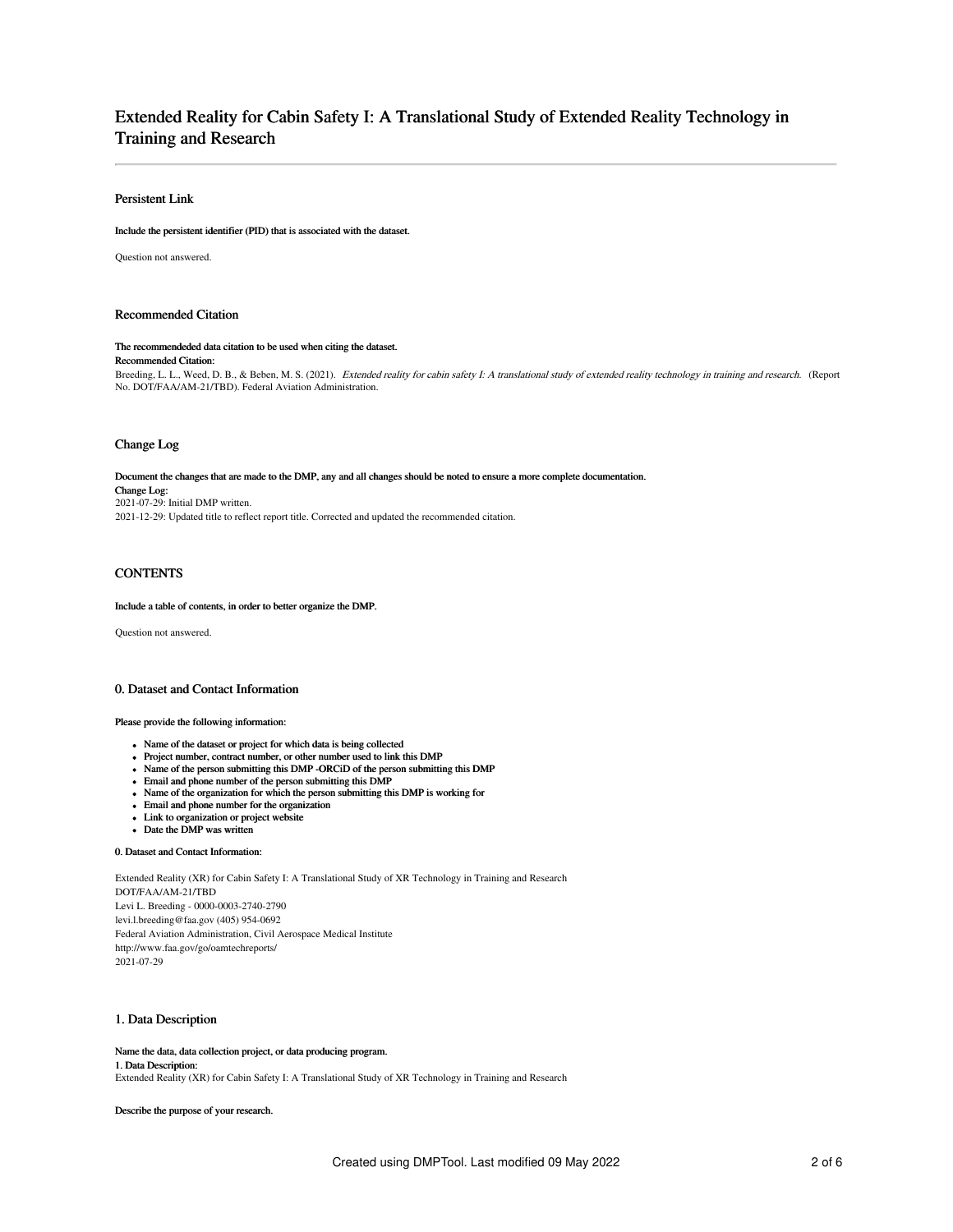# Extended Reality for Cabin Safety I: A Translational Study of Extended Reality Technology in Training and Research

## Persistent Link

Include the persistent identifier (PID) that is associated with the dataset.

Question not answered.

## Recommended Citation

## The recommendeded data citation to be used when citing the dataset.

## Recommended Citation:

Breeding, L. L., Weed, D. B., & Beben, M. S. (2021). Extended reality for cabin safety I: A translational study of extended reality technology in training and research. (Report No. DOT/FAA/AM-21/TBD). Federal Aviation Administration.

## Change Log

Document the changes that are made to the DMP, any and all changes should be noted to ensure a more complete documentation. Change Log: 2021-07-29: Initial DMP written. 2021-12-29: Updated title to reflect report title. Corrected and updated the recommended citation.

## **CONTENTS**

## Include a table of contents, in order to better organize the DMP.

Question not answered.

## 0. Dataset and Contact Information

## Please provide the following information:

- Name of the dataset or project for which data is being collected
- Project number, contract number, or other number used to link this DMP
- Name of the person submitting this DMP -ORCiD of the person submitting this DMP
- Email and phone number of the person submitting this DMP
- Name of the organization for which the person submitting this DMP is working for
- Email and phone number for the organization
- Link to organization or project website
- Date the DMP was written

### 0. Dataset and Contact Information:

Extended Reality (XR) for Cabin Safety I: A Translational Study of XR Technology in Training and Research DOT/FAA/AM-21/TBD Levi L. Breeding - 0000-0003-2740-2790 levi.l.breeding@faa.gov (405) 954-0692 Federal Aviation Administration, Civil Aerospace Medical Institute http://www.faa.gov/go/oamtechreports/ 2021-07-29

## 1. Data Description

Name the data, data collection project, or data producing program. 1. Data Description: Extended Reality (XR) for Cabin Safety I: A Translational Study of XR Technology in Training and Research

Describe the purpose of your research.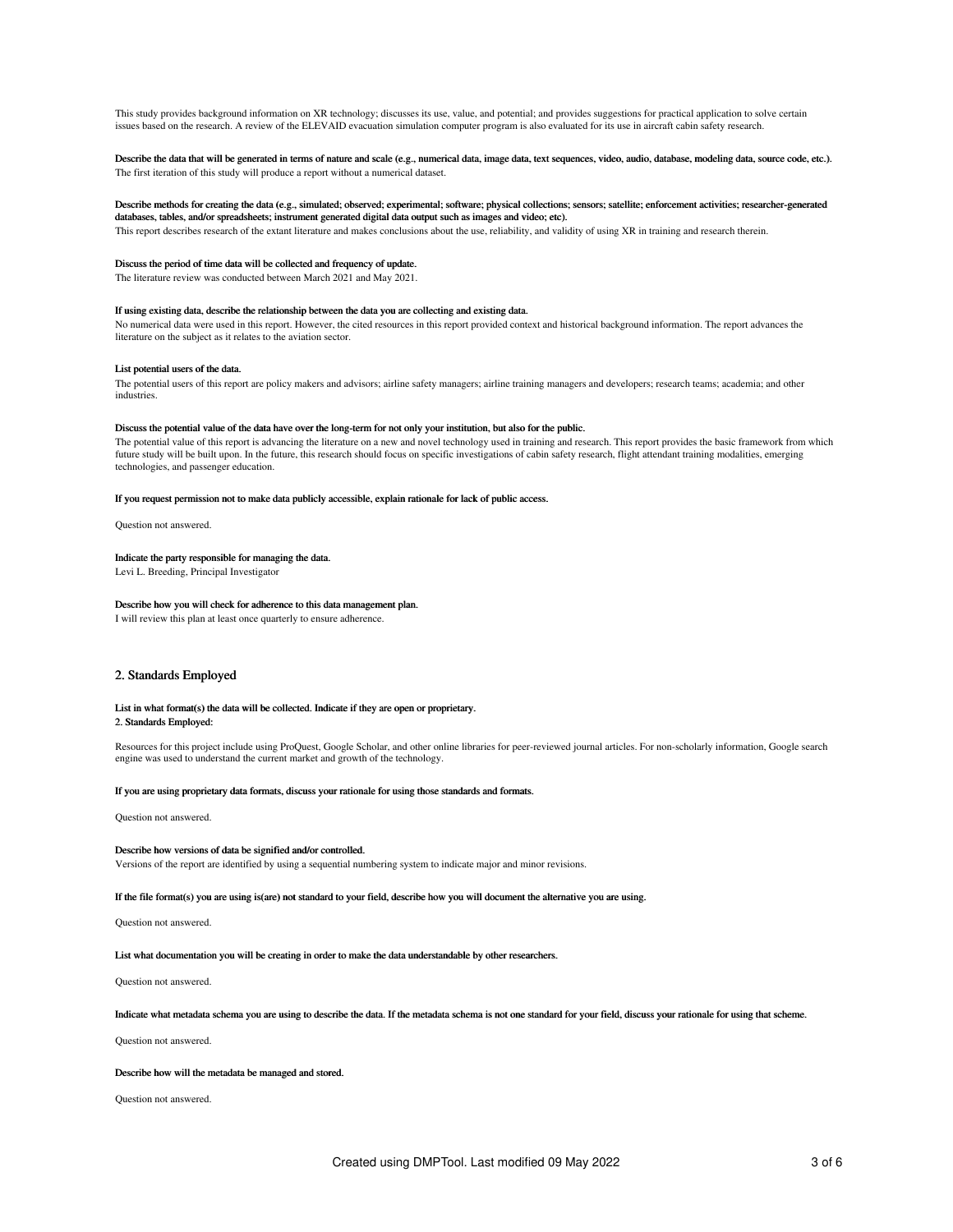This study provides background information on XR technology; discusses its use, value, and potential; and provides suggestions for practical application to solve certain issues based on the research. A review of the ELEVAID evacuation simulation computer program is also evaluated for its use in aircraft cabin safety research.

Describe the data that will be generated in terms of nature and scale (e.g., numerical data, image data, text sequences, video, audio, database, modeling data, source code, etc.). The first iteration of this study will produce a report without a numerical dataset.

## Describe methods for creating the data (e.g., simulated; observed; experimental; software; physical collections; sensors; satellite; enforcement activities; researcher-generated databases, tables, and/or spreadsheets; instrument generated digital data output such as images and video; etc).

This report describes research of the extant literature and makes conclusions about the use, reliability, and validity of using XR in training and research therein.

## Discuss the period of time data will be collected and frequency of update.

The literature review was conducted between March 2021 and May 2021.

## If using existing data, describe the relationship between the data you are collecting and existing data.

No numerical data were used in this report. However, the cited resources in this report provided context and historical background information. The report advances the literature on the subject as it relates to the aviation sector.

## List potential users of the data.

The potential users of this report are policy makers and advisors; airline safety managers; airline training managers and developers; research teams; academia; and other industries.

## Discuss the potential value of the data have over the long-term for not only your institution, but also for the public.

The potential value of this report is advancing the literature on a new and novel technology used in training and research. This report provides the basic framework from which future study will be built upon. In the future, this research should focus on specific investigations of cabin safety research, flight attendant training modalities, emerging technologies, and passenger education.

#### If you request permission not to make data publicly accessible, explain rationale for lack of public access.

Question not answered.

## Indicate the party responsible for managing the data.

Levi L. Breeding, Principal Investigator

### Describe how you will check for adherence to this data management plan.

I will review this plan at least once quarterly to ensure adherence.

## 2. Standards Employed

## List in what format(s) the data will be collected. Indicate if they are open or proprietary. 2. Standards Employed:

Resources for this project include using ProQuest, Google Scholar, and other online libraries for peer-reviewed journal articles. For non-scholarly information, Google search engine was used to understand the current market and growth of the technology.

#### If you are using proprietary data formats, discuss your rationale for using those standards and formats.

Question not answered.

## Describe how versions of data be signified and/or controlled.

Versions of the report are identified by using a sequential numbering system to indicate major and minor revisions.

If the file format(s) you are using is(are) not standard to your field, describe how you will document the alternative you are using.

Question not answered.

List what documentation you will be creating in order to make the data understandable by other researchers.

Question not answered.

Indicate what metadata schema you are using to describe the data. If the metadata schema is not one standard for your field, discuss your rationale for using that scheme.

Question not answered.

## Describe how will the metadata be managed and stored.

Question not answered.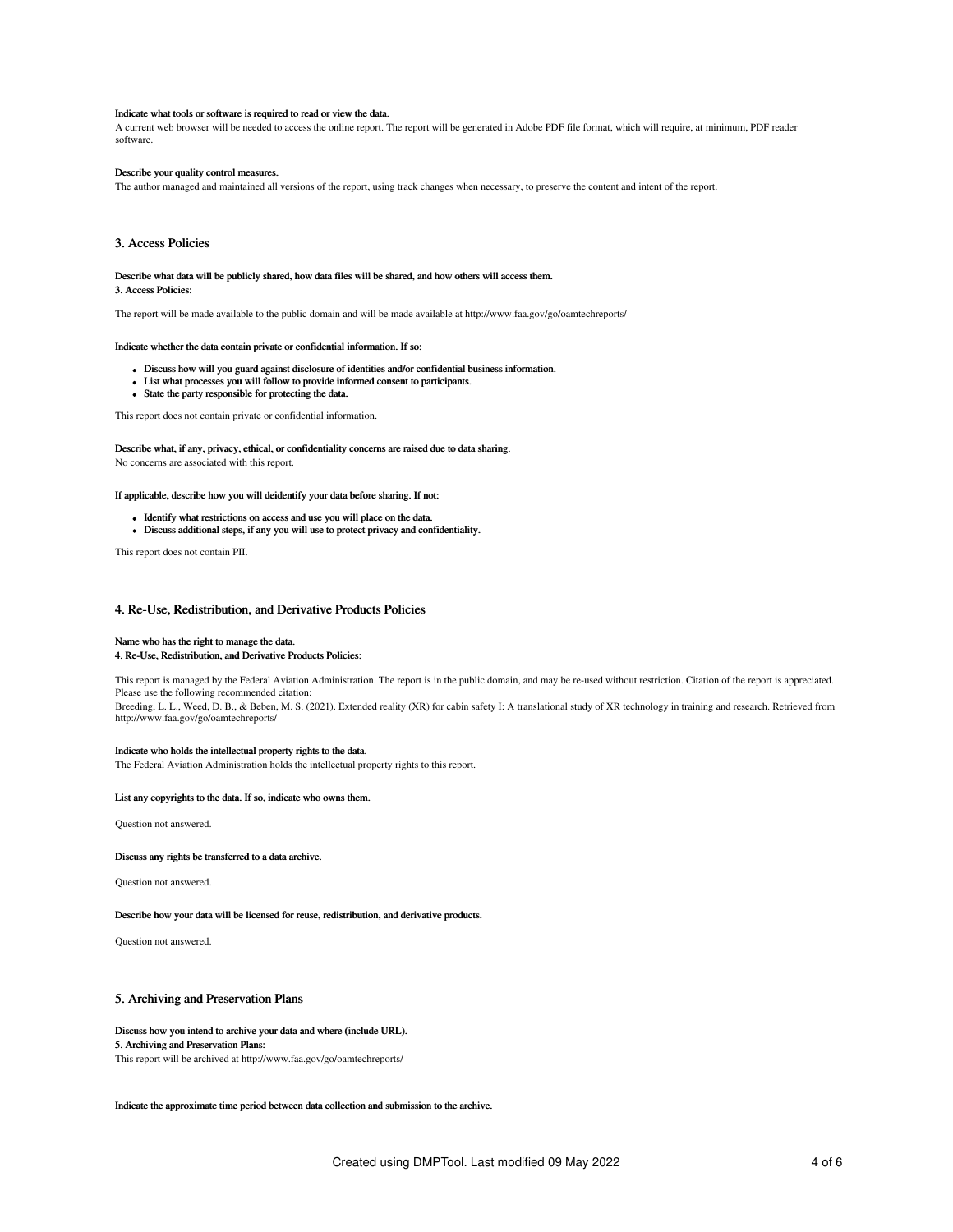#### Indicate what tools or software is required to read or view the data.

A current web browser will be needed to access the online report. The report will be generated in Adobe PDF file format, which will require, at minimum, PDF reader software.

## Describe your quality control measures.

The author managed and maintained all versions of the report, using track changes when necessary, to preserve the content and intent of the report.

## 3. Access Policies

Describe what data will be publicly shared, how data files will be shared, and how others will access them. 3. Access Policies:

The report will be made available to the public domain and will be made available at http://www.faa.gov/go/oamtechreports/

## Indicate whether the data contain private or confidential information. If so:

- Discuss how will you guard against disclosure of identities and/or confidential business information.
- List what processes you will follow to provide informed consent to participants.
- State the party responsible for protecting the data.

This report does not contain private or confidential information.

Describe what, if any, privacy, ethical, or confidentiality concerns are raised due to data sharing. No concerns are associated with this report.

If applicable, describe how you will deidentify your data before sharing. If not:

- Identify what restrictions on access and use you will place on the data.
- Discuss additional steps, if any you will use to protect privacy and confidentiality.

This report does not contain PII.

## 4. Re-Use, Redistribution, and Derivative Products Policies

## Name who has the right to manage the data.

### 4. Re-Use, Redistribution, and Derivative Products Policies:

This report is managed by the Federal Aviation Administration. The report is in the public domain, and may be re-used without restriction. Citation of the report is appreciated. Please use the following recommended citation: Breeding, L. L., Weed, D. B., & Beben, M. S. (2021). Extended reality (XR) for cabin safety I: A translational study of XR technology in training and research. Retrieved from http://www.faa.gov/go/oamtechreports/

## Indicate who holds the intellectual property rights to the data.

The Federal Aviation Administration holds the intellectual property rights to this report.

#### List any copyrights to the data. If so, indicate who owns them.

Question not answered.

## Discuss any rights be transferred to a data archive.

Question not answered.

## Describe how your data will be licensed for reuse, redistribution, and derivative products.

Question not answered.

## 5. Archiving and Preservation Plans

#### Discuss how you intend to archive your data and where (include URL).

### 5. Archiving and Preservation Plans:

This report will be archived at http://www.faa.gov/go/oamtechreports/

Indicate the approximate time period between data collection and submission to the archive.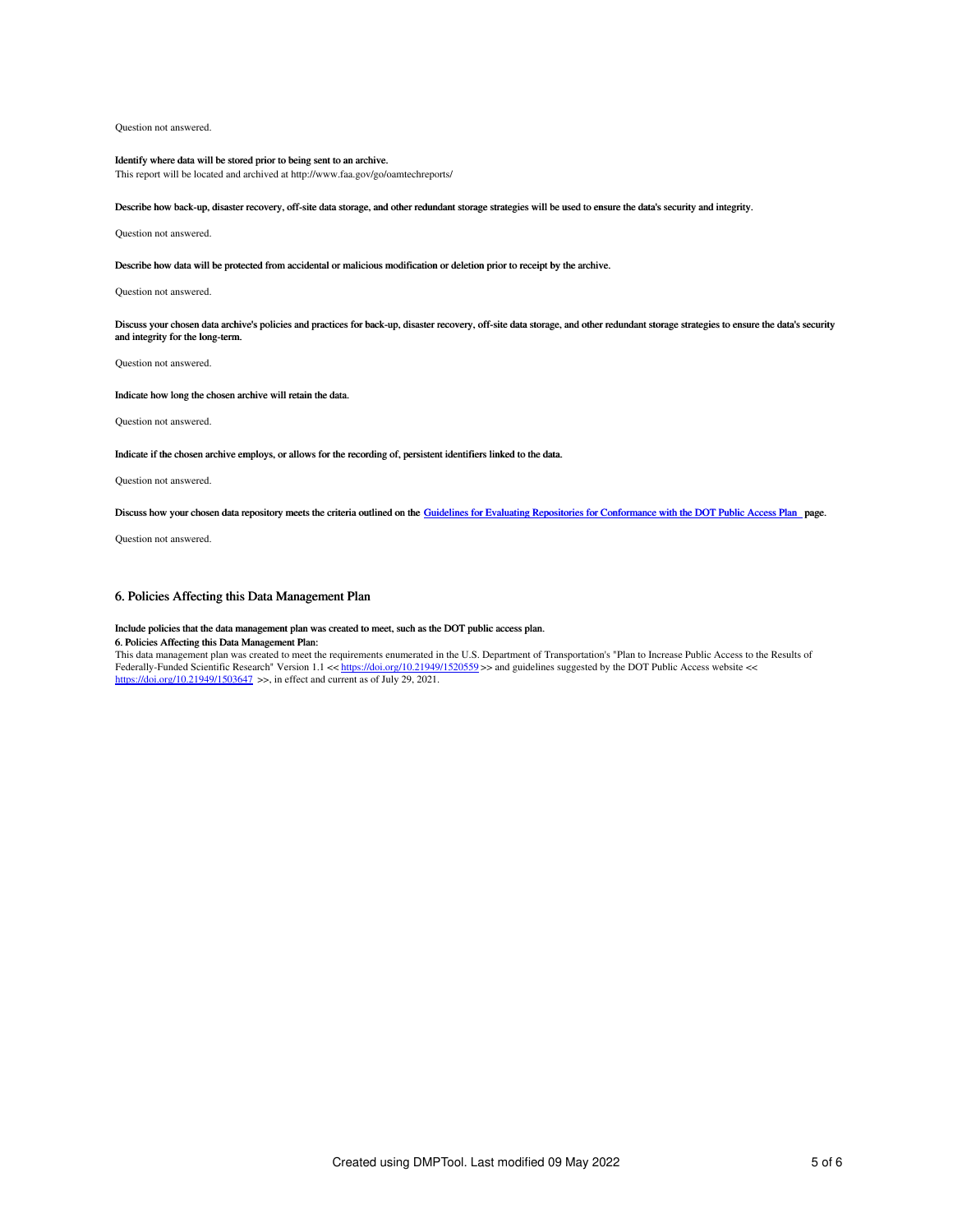Question not answered.

## Identify where data will be stored prior to being sent to an archive.

This report will be located and archived at http://www.faa.gov/go/oamtechreports/

Describe how back-up, disaster recovery, off-site data storage, and other redundant storage strategies will be used to ensure the data's security and integrity.

Question not answered.

## Describe how data will be protected from accidental or malicious modification or deletion prior to receipt by the archive.

Question not answered.

Discuss your chosen data archive's policies and practices for back-up, disaster recovery, off-site data storage, and other redundant storage strategies to ensure the data's security and integrity for the long-term.

Question not answered.

## Indicate how long the chosen archive will retain the data.

Question not answered.

## Indicate if the chosen archive employs, or allows for the recording of, persistent identifiers linked to the data.

Question not answered.

Discuss how your chosen data repository meets the criteria outlined on the Guidelines for Evaluating Repositories for [Conformance](https://ntl.bts.gov/public-access/guidelines-evaluating-repositories) with the DOT Public Access Plan page.

Question not answered.

## 6. Policies Affecting this Data Management Plan

## Include policies that the data management plan was created to meet, such as the DOT public access plan.

## 6. Policies Affecting this Data Management Plan:

This data management plan was created to meet the requirements enumerated in the U.S. Department of Transportation's "Plan to Increase Public Access to the Results of Federally-Funded Scientific Research" Version 1.1 << <https://doi.org/10.21949/1520559> >> and guidelines suggested by the DOT Public Access website <<<br><https://doi.org/10.21949/1503647> >>, in effect and current as of July 29